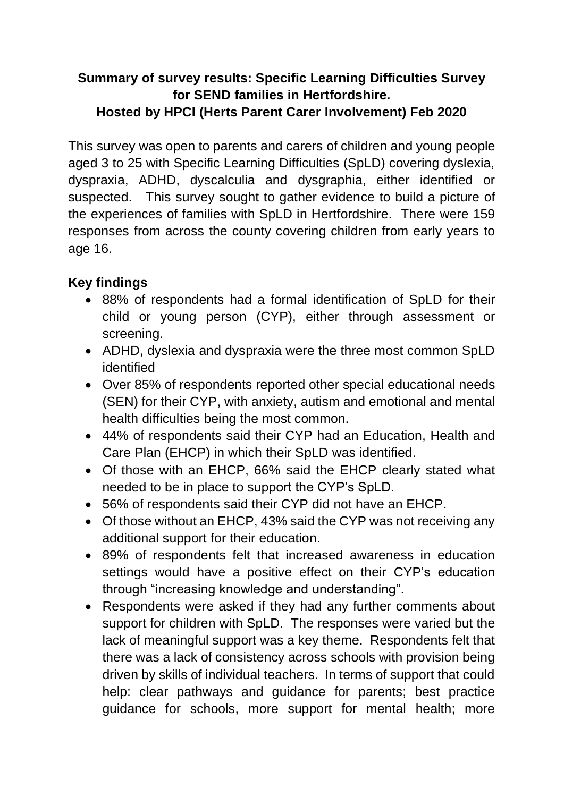## **Summary of survey results: Specific Learning Difficulties Survey for SEND families in Hertfordshire. Hosted by HPCI (Herts Parent Carer Involvement) Feb 2020**

This survey was open to parents and carers of children and young people aged 3 to 25 with Specific Learning Difficulties (SpLD) covering dyslexia, dyspraxia, ADHD, dyscalculia and dysgraphia, either identified or suspected. This survey sought to gather evidence to build a picture of the experiences of families with SpLD in Hertfordshire. There were 159 responses from across the county covering children from early years to age 16.

## **Key findings**

- 88% of respondents had a formal identification of SpLD for their child or young person (CYP), either through assessment or screening.
- ADHD, dyslexia and dyspraxia were the three most common SpLD identified
- Over 85% of respondents reported other special educational needs (SEN) for their CYP, with anxiety, autism and emotional and mental health difficulties being the most common.
- 44% of respondents said their CYP had an Education, Health and Care Plan (EHCP) in which their SpLD was identified.
- Of those with an EHCP, 66% said the EHCP clearly stated what needed to be in place to support the CYP's SpLD.
- 56% of respondents said their CYP did not have an EHCP.
- Of those without an EHCP, 43% said the CYP was not receiving any additional support for their education.
- 89% of respondents felt that increased awareness in education settings would have a positive effect on their CYP's education through "increasing knowledge and understanding".
- Respondents were asked if they had any further comments about support for children with SpLD. The responses were varied but the lack of meaningful support was a key theme. Respondents felt that there was a lack of consistency across schools with provision being driven by skills of individual teachers. In terms of support that could help: clear pathways and guidance for parents; best practice guidance for schools, more support for mental health; more